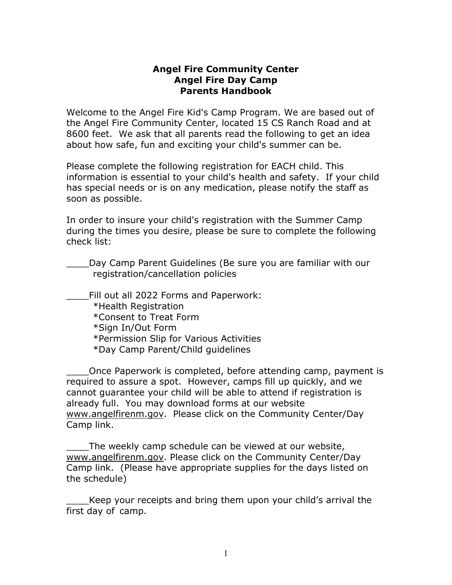#### **Angel Fire Community Center Angel Fire Day Camp Parents Handbook**

Welcome to the Angel Fire Kid's Camp Program. We are based out of the Angel Fire Community Center, located 15 CS Ranch Road and at 8600 feet. We ask that all parents read the following to get an idea about how safe, fun and exciting your child's summer can be.

Please complete the following registration for EACH child. This information is essential to your child's health and safety. If your child has special needs or is on any medication, please notify the staff as soon as possible.

In order to insure your child's registration with the Summer Camp during the times you desire, please be sure to complete the following check list:

Day Camp Parent Guidelines (Be sure you are familiar with our registration/cancellation policies

\_\_\_\_Fill out all 2022 Forms and Paperwork: \*Health Registration \*Consent to Treat Form \*Sign In/Out Form \*Permission Slip for Various Activities \*Day Camp Parent/Child guidelines

\_\_\_\_Once Paperwork is completed, before attending camp, payment is required to assure a spot. However, camps fill up quickly, and we cannot guarantee your child will be able to attend if registration is already full. You may download forms at our website www.angelfirenm.gov. Please click on the Community Center/Day Camp link.

The weekly camp schedule can be viewed at our website, www.angelfirenm.gov. Please click on the Community Center/Day Camp link. (Please have appropriate supplies for the days listed on the schedule)

Keep your receipts and bring them upon your child's arrival the first day of camp.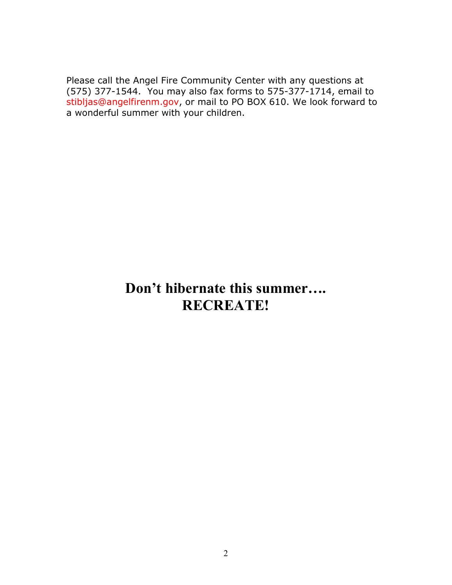Please call the Angel Fire Community Center with any questions at (575) 377-1544. You may also fax forms to 575-377-1714, email to stibljas@angelfirenm.gov, or mail to PO BOX 610. We look forward to a wonderful summer with your children.

# **Don't hibernate this summer…. RECREATE!**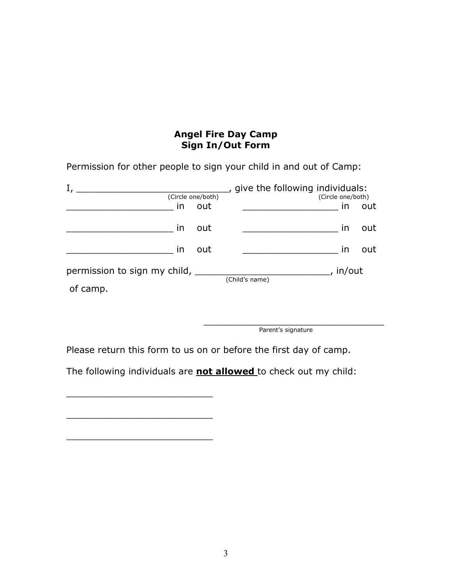# **Angel Fire Day Camp Sign In/Out Form**

Permission for other people to sign your child in and out of Camp:

|                                          | (Circle one/both) |                | give the following individuals: | (Circle one/both) |     |
|------------------------------------------|-------------------|----------------|---------------------------------|-------------------|-----|
| in                                       | out               |                |                                 | in                | out |
| in                                       | out               |                |                                 | ın                | out |
| in                                       | out               |                |                                 | in                | out |
| permission to sign my child,<br>of camp. |                   | (Child's name) |                                 | in/out            |     |

\_\_\_\_\_\_\_\_\_\_\_\_\_\_\_\_\_\_\_\_\_\_\_\_\_\_\_\_\_\_\_\_ Parent's signature

Please return this form to us on or before the first day of camp.

The following individuals are **not allowed** to check out my child:

\_\_\_\_\_\_\_\_\_\_\_\_\_\_\_\_\_\_\_\_\_\_\_\_\_\_

\_\_\_\_\_\_\_\_\_\_\_\_\_\_\_\_\_\_\_\_\_\_\_\_\_\_

\_\_\_\_\_\_\_\_\_\_\_\_\_\_\_\_\_\_\_\_\_\_\_\_\_\_

3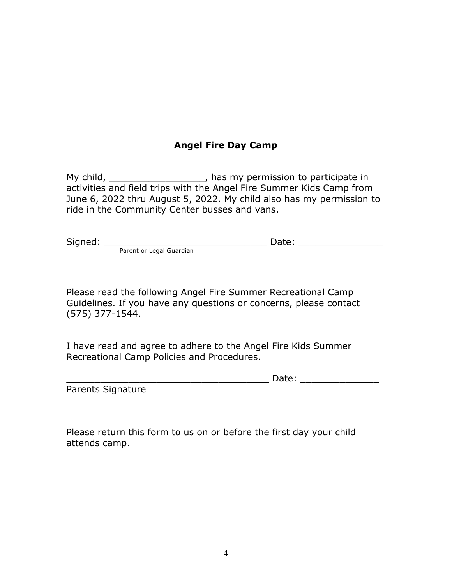# **Angel Fire Day Camp**

My child, \_\_\_\_\_\_\_\_\_\_\_\_\_\_\_\_\_\_\_\_, has my permission to participate in activities and field trips with the Angel Fire Summer Kids Camp from June 6, 2022 thru August 5, 2022. My child also has my permission to ride in the Community Center busses and vans.

| Signed: |                          | Date: |  |
|---------|--------------------------|-------|--|
|         | Parent or Legal Guardian |       |  |

Please read the following Angel Fire Summer Recreational Camp Guidelines. If you have any questions or concerns, please contact (575) 377-1544.

I have read and agree to adhere to the Angel Fire Kids Summer Recreational Camp Policies and Procedures.

| $- - - -$ |
|-----------|
|-----------|

Parents Signature

Please return this form to us on or before the first day your child attends camp.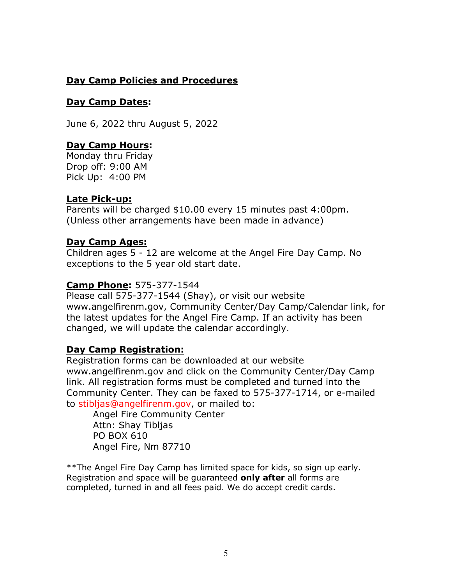# **Day Camp Policies and Procedures**

## **Day Camp Dates:**

June 6, 2022 thru August 5, 2022

# **Day Camp Hours:**

Monday thru Friday Drop off: 9:00 AM Pick Up: 4:00 PM

## **Late Pick-up:**

Parents will be charged \$10.00 every 15 minutes past 4:00pm. (Unless other arrangements have been made in advance)

## **Day Camp Ages:**

Children ages 5 - 12 are welcome at the Angel Fire Day Camp. No exceptions to the 5 year old start date.

# **Camp Phone:** 575-377-1544

Please call 575-377-1544 (Shay), or visit our website www.angelfirenm.gov, Community Center/Day Camp/Calendar link, for the latest updates for the Angel Fire Camp. If an activity has been changed, we will update the calendar accordingly.

# **Day Camp Registration:**

Registration forms can be downloaded at our website www.angelfirenm.gov and click on the Community Center/Day Camp link. All registration forms must be completed and turned into the Community Center. They can be faxed to 575-377-1714, or e-mailed to stibljas@angelfirenm.gov, or mailed to:

Angel Fire Community Center Attn: Shay Tibljas PO BOX 610 Angel Fire, Nm 87710

\*\*The Angel Fire Day Camp has limited space for kids, so sign up early. Registration and space will be guaranteed **only after** all forms are completed, turned in and all fees paid. We do accept credit cards.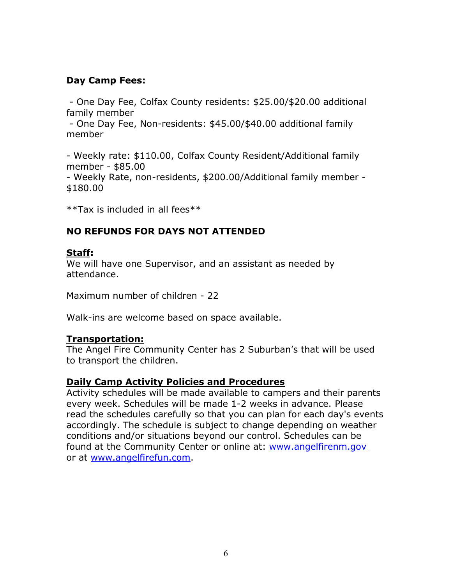# **Day Camp Fees:**

 - One Day Fee, Colfax County residents: \$25.00/\$20.00 additional family member

 - One Day Fee, Non-residents: \$45.00/\$40.00 additional family member

- Weekly rate: \$110.00, Colfax County Resident/Additional family member - \$85.00 - Weekly Rate, non-residents, \$200.00/Additional family member -

\$180.00

\*\*Tax is included in all fees\*\*

# **NO REFUNDS FOR DAYS NOT ATTENDED**

#### **Staff:**

We will have one Supervisor, and an assistant as needed by attendance.

Maximum number of children - 22

Walk-ins are welcome based on space available.

#### **Transportation:**

The Angel Fire Community Center has 2 Suburban's that will be used to transport the children.

#### **Daily Camp Activity Policies and Procedures**

Activity schedules will be made available to campers and their parents every week. Schedules will be made 1-2 weeks in advance. Please read the schedules carefully so that you can plan for each day's events accordingly. The schedule is subject to change depending on weather conditions and/or situations beyond our control. Schedules can be found at the Community Center or online at: www.angelfirenm.gov or at [www.angelfirefun.com.](http://www.angelfirefun.com/)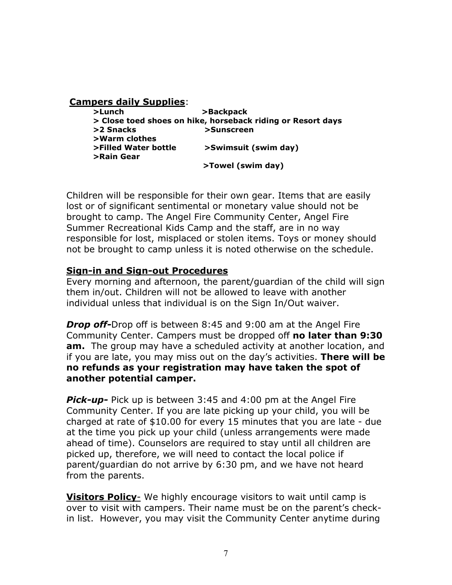#### **Campers daily Supplies**: **>Lunch >Backpack > Close toed shoes on hike, horseback riding or Resort days** >2 Snacks **big >Sunscreen >Warm clothes >Filled Water bottle >Swimsuit (swim day) >Rain Gear**

 **>Towel (swim day)**

Children will be responsible for their own gear. Items that are easily lost or of significant sentimental or monetary value should not be brought to camp. The Angel Fire Community Center, Angel Fire Summer Recreational Kids Camp and the staff, are in no way responsible for lost, misplaced or stolen items. Toys or money should not be brought to camp unless it is noted otherwise on the schedule.

#### **Sign-in and Sign-out Procedures**

Every morning and afternoon, the parent/guardian of the child will sign them in/out. Children will not be allowed to leave with another individual unless that individual is on the Sign In/Out waiver.

*Drop off-*Drop off is between 8:45 and 9:00 am at the Angel Fire Community Center. Campers must be dropped off **no later than 9:30 am.** The group may have a scheduled activity at another location, and if you are late, you may miss out on the day's activities. **There will be no refunds as your registration may have taken the spot of another potential camper.** 

*Pick-up-* Pick up is between 3:45 and 4:00 pm at the Angel Fire Community Center. If you are late picking up your child, you will be charged at rate of \$10.00 for every 15 minutes that you are late - due at the time you pick up your child (unless arrangements were made ahead of time). Counselors are required to stay until all children are picked up, therefore, we will need to contact the local police if parent/guardian do not arrive by 6:30 pm, and we have not heard from the parents.

**Visitors Policy**- We highly encourage visitors to wait until camp is over to visit with campers. Their name must be on the parent's checkin list. However, you may visit the Community Center anytime during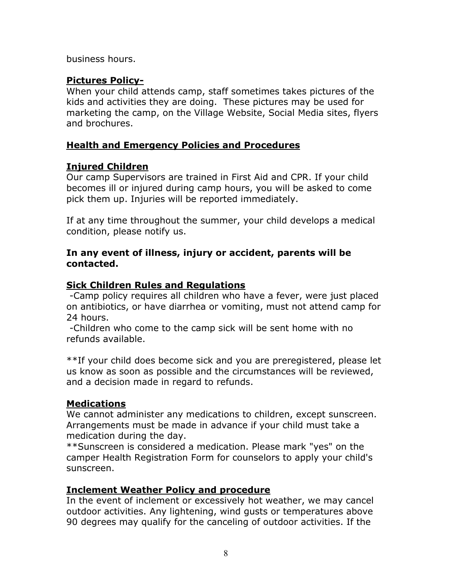business hours.

# **Pictures Policy-**

When your child attends camp, staff sometimes takes pictures of the kids and activities they are doing. These pictures may be used for marketing the camp, on the Village Website, Social Media sites, flyers and brochures.

# **Health and Emergency Policies and Procedures**

# **Injured Children**

Our camp Supervisors are trained in First Aid and CPR. If your child becomes ill or injured during camp hours, you will be asked to come pick them up. Injuries will be reported immediately.

If at any time throughout the summer, your child develops a medical condition, please notify us.

#### **In any event of illness, injury or accident, parents will be contacted.**

# **Sick Children Rules and Regulations**

 -Camp policy requires all children who have a fever, were just placed on antibiotics, or have diarrhea or vomiting, must not attend camp for 24 hours.

 -Children who come to the camp sick will be sent home with no refunds available.

\*\*If your child does become sick and you are preregistered, please let us know as soon as possible and the circumstances will be reviewed, and a decision made in regard to refunds.

#### **Medications**

We cannot administer any medications to children, except sunscreen. Arrangements must be made in advance if your child must take a medication during the day.

\*\*Sunscreen is considered a medication. Please mark "yes" on the camper Health Registration Form for counselors to apply your child's sunscreen.

# **Inclement Weather Policy and procedure**

In the event of inclement or excessively hot weather, we may cancel outdoor activities. Any lightening, wind gusts or temperatures above 90 degrees may qualify for the canceling of outdoor activities. If the